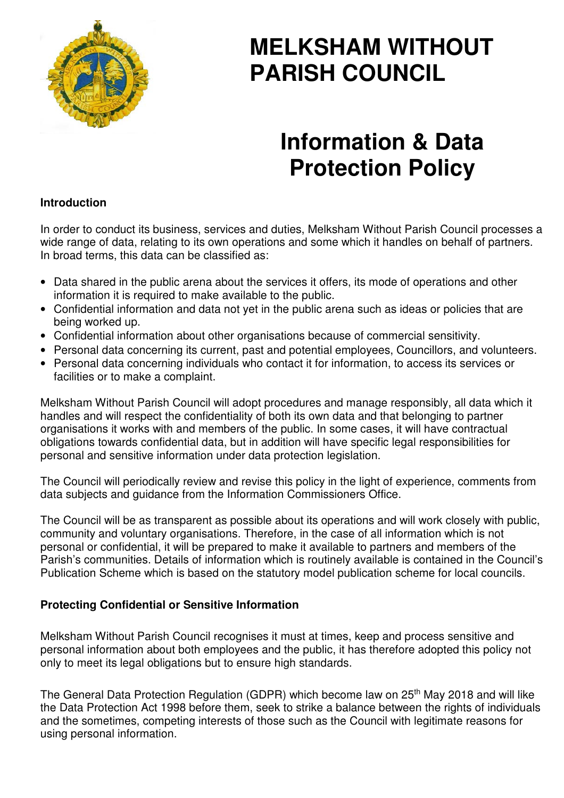

# **MELKSHAM WITHOUT PARISH COUNCIL**

# **Information & Data Protection Policy**

# **Introduction**

In order to conduct its business, services and duties, Melksham Without Parish Council processes a wide range of data, relating to its own operations and some which it handles on behalf of partners. In broad terms, this data can be classified as:

- Data shared in the public arena about the services it offers, its mode of operations and other information it is required to make available to the public.
- Confidential information and data not yet in the public arena such as ideas or policies that are being worked up.
- Confidential information about other organisations because of commercial sensitivity.
- Personal data concerning its current, past and potential employees, Councillors, and volunteers.
- Personal data concerning individuals who contact it for information, to access its services or facilities or to make a complaint.

Melksham Without Parish Council will adopt procedures and manage responsibly, all data which it handles and will respect the confidentiality of both its own data and that belonging to partner organisations it works with and members of the public. In some cases, it will have contractual obligations towards confidential data, but in addition will have specific legal responsibilities for personal and sensitive information under data protection legislation.

The Council will periodically review and revise this policy in the light of experience, comments from data subjects and guidance from the Information Commissioners Office.

The Council will be as transparent as possible about its operations and will work closely with public, community and voluntary organisations. Therefore, in the case of all information which is not personal or confidential, it will be prepared to make it available to partners and members of the Parish's communities. Details of information which is routinely available is contained in the Council's Publication Scheme which is based on the statutory model publication scheme for local councils.

# **Protecting Confidential or Sensitive Information**

Melksham Without Parish Council recognises it must at times, keep and process sensitive and personal information about both employees and the public, it has therefore adopted this policy not only to meet its legal obligations but to ensure high standards.

The General Data Protection Regulation (GDPR) which become law on 25<sup>th</sup> May 2018 and will like the Data Protection Act 1998 before them, seek to strike a balance between the rights of individuals and the sometimes, competing interests of those such as the Council with legitimate reasons for using personal information.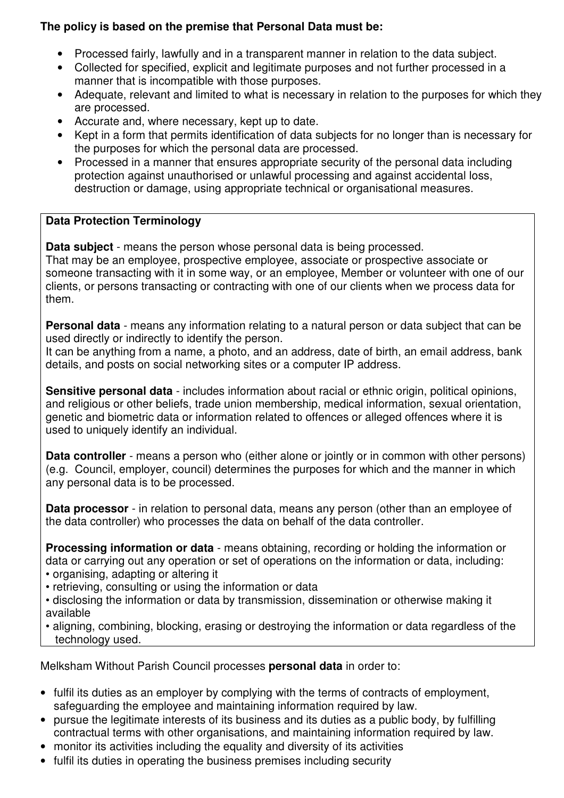# **The policy is based on the premise that Personal Data must be:**

- Processed fairly, lawfully and in a transparent manner in relation to the data subject.
- Collected for specified, explicit and legitimate purposes and not further processed in a manner that is incompatible with those purposes.
- Adequate, relevant and limited to what is necessary in relation to the purposes for which they are processed.
- Accurate and, where necessary, kept up to date.
- Kept in a form that permits identification of data subjects for no longer than is necessary for the purposes for which the personal data are processed.
- Processed in a manner that ensures appropriate security of the personal data including protection against unauthorised or unlawful processing and against accidental loss, destruction or damage, using appropriate technical or organisational measures.

# **Data Protection Terminology**

**Data subject** - means the person whose personal data is being processed. That may be an employee, prospective employee, associate or prospective associate or someone transacting with it in some way, or an employee, Member or volunteer with one of our clients, or persons transacting or contracting with one of our clients when we process data for them.

**Personal data** - means any information relating to a natural person or data subject that can be used directly or indirectly to identify the person.

It can be anything from a name, a photo, and an address, date of birth, an email address, bank details, and posts on social networking sites or a computer IP address.

**Sensitive personal data** - includes information about racial or ethnic origin, political opinions, and religious or other beliefs, trade union membership, medical information, sexual orientation, genetic and biometric data or information related to offences or alleged offences where it is used to uniquely identify an individual.

**Data controller** - means a person who (either alone or jointly or in common with other persons) (e.g. Council, employer, council) determines the purposes for which and the manner in which any personal data is to be processed.

**Data processor** - in relation to personal data, means any person (other than an employee of the data controller) who processes the data on behalf of the data controller.

**Processing information or data** - means obtaining, recording or holding the information or data or carrying out any operation or set of operations on the information or data, including:

• organising, adapting or altering it

• retrieving, consulting or using the information or data

• disclosing the information or data by transmission, dissemination or otherwise making it available

• aligning, combining, blocking, erasing or destroying the information or data regardless of the technology used.

Melksham Without Parish Council processes **personal data** in order to:

- fulfil its duties as an employer by complying with the terms of contracts of employment, safeguarding the employee and maintaining information required by law.
- pursue the legitimate interests of its business and its duties as a public body, by fulfilling contractual terms with other organisations, and maintaining information required by law.
- monitor its activities including the equality and diversity of its activities
- fulfil its duties in operating the business premises including security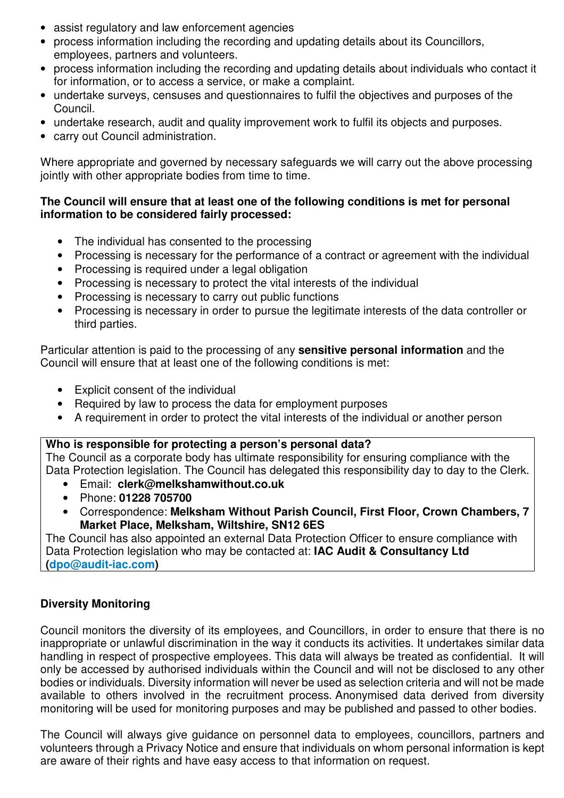- assist regulatory and law enforcement agencies
- process information including the recording and updating details about its Councillors, employees, partners and volunteers.
- process information including the recording and updating details about individuals who contact it for information, or to access a service, or make a complaint.
- undertake surveys, censuses and questionnaires to fulfil the objectives and purposes of the Council.
- undertake research, audit and quality improvement work to fulfil its objects and purposes.
- carry out Council administration.

Where appropriate and governed by necessary safeguards we will carry out the above processing jointly with other appropriate bodies from time to time.

# **The Council will ensure that at least one of the following conditions is met for personal information to be considered fairly processed:**

- The individual has consented to the processing
- Processing is necessary for the performance of a contract or agreement with the individual
- Processing is required under a legal obligation
- Processing is necessary to protect the vital interests of the individual
- Processing is necessary to carry out public functions
- Processing is necessary in order to pursue the legitimate interests of the data controller or third parties.

Particular attention is paid to the processing of any **sensitive personal information** and the Council will ensure that at least one of the following conditions is met:

- Explicit consent of the individual
- Required by law to process the data for employment purposes
- A requirement in order to protect the vital interests of the individual or another person

# **Who is responsible for protecting a person's personal data?**

The Council as a corporate body has ultimate responsibility for ensuring compliance with the Data Protection legislation. The Council has delegated this responsibility day to day to the Clerk.

- Email: **clerk@melkshamwithout.co.uk**
- Phone: **01228 705700**
- Correspondence: **Melksham Without Parish Council, First Floor, Crown Chambers, 7 Market Place, Melksham, Wiltshire, SN12 6ES**

The Council has also appointed an external Data Protection Officer to ensure compliance with Data Protection legislation who may be contacted at: **IAC Audit & Consultancy Ltd (dpo@audit-iac.com)**

# **Diversity Monitoring**

Council monitors the diversity of its employees, and Councillors, in order to ensure that there is no inappropriate or unlawful discrimination in the way it conducts its activities. It undertakes similar data handling in respect of prospective employees. This data will always be treated as confidential. It will only be accessed by authorised individuals within the Council and will not be disclosed to any other bodies or individuals. Diversity information will never be used as selection criteria and will not be made available to others involved in the recruitment process. Anonymised data derived from diversity monitoring will be used for monitoring purposes and may be published and passed to other bodies.

The Council will always give guidance on personnel data to employees, councillors, partners and volunteers through a Privacy Notice and ensure that individuals on whom personal information is kept are aware of their rights and have easy access to that information on request.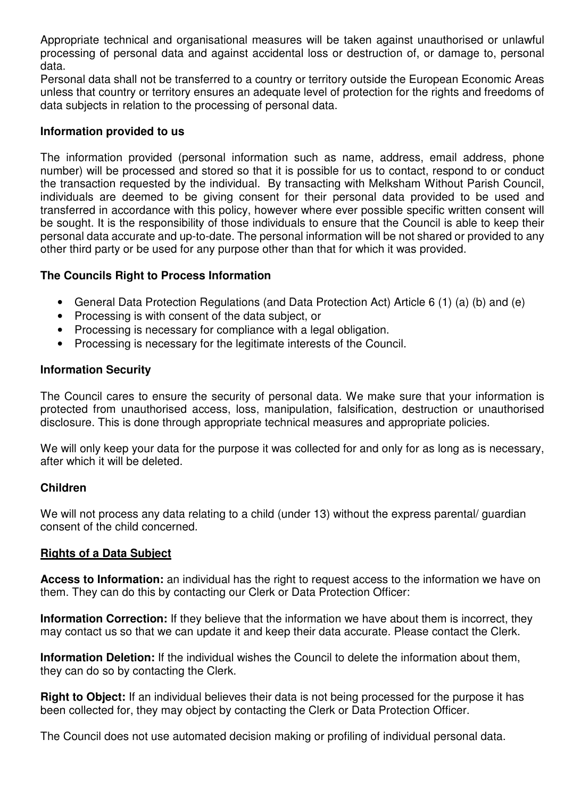Appropriate technical and organisational measures will be taken against unauthorised or unlawful processing of personal data and against accidental loss or destruction of, or damage to, personal data.

Personal data shall not be transferred to a country or territory outside the European Economic Areas unless that country or territory ensures an adequate level of protection for the rights and freedoms of data subjects in relation to the processing of personal data.

#### **Information provided to us**

The information provided (personal information such as name, address, email address, phone number) will be processed and stored so that it is possible for us to contact, respond to or conduct the transaction requested by the individual. By transacting with Melksham Without Parish Council, individuals are deemed to be giving consent for their personal data provided to be used and transferred in accordance with this policy, however where ever possible specific written consent will be sought. It is the responsibility of those individuals to ensure that the Council is able to keep their personal data accurate and up-to-date. The personal information will be not shared or provided to any other third party or be used for any purpose other than that for which it was provided.

# **The Councils Right to Process Information**

- General Data Protection Regulations (and Data Protection Act) Article 6 (1) (a) (b) and (e)
- Processing is with consent of the data subject, or
- Processing is necessary for compliance with a legal obligation.
- Processing is necessary for the legitimate interests of the Council.

# **Information Security**

The Council cares to ensure the security of personal data. We make sure that your information is protected from unauthorised access, loss, manipulation, falsification, destruction or unauthorised disclosure. This is done through appropriate technical measures and appropriate policies.

We will only keep your data for the purpose it was collected for and only for as long as is necessary, after which it will be deleted.

# **Children**

We will not process any data relating to a child (under 13) without the express parental/ guardian consent of the child concerned.

# **Rights of a Data Subject**

**Access to Information:** an individual has the right to request access to the information we have on them. They can do this by contacting our Clerk or Data Protection Officer:

**Information Correction:** If they believe that the information we have about them is incorrect, they may contact us so that we can update it and keep their data accurate. Please contact the Clerk.

**Information Deletion:** If the individual wishes the Council to delete the information about them, they can do so by contacting the Clerk.

**Right to Object:** If an individual believes their data is not being processed for the purpose it has been collected for, they may object by contacting the Clerk or Data Protection Officer.

The Council does not use automated decision making or profiling of individual personal data.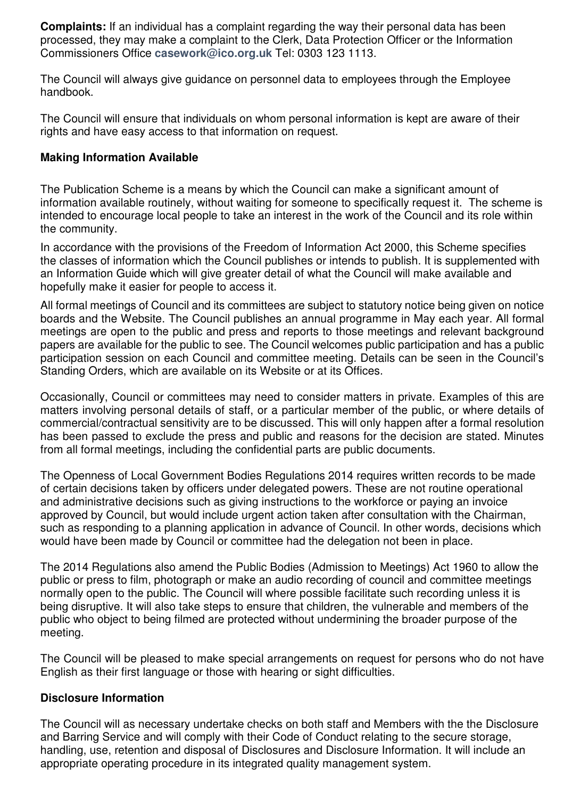**Complaints:** If an individual has a complaint regarding the way their personal data has been processed, they may make a complaint to the Clerk, Data Protection Officer or the Information Commissioners Office **casework@ico.org.uk** Tel: 0303 123 1113.

The Council will always give guidance on personnel data to employees through the Employee handbook.

The Council will ensure that individuals on whom personal information is kept are aware of their rights and have easy access to that information on request.

#### **Making Information Available**

The Publication Scheme is a means by which the Council can make a significant amount of information available routinely, without waiting for someone to specifically request it. The scheme is intended to encourage local people to take an interest in the work of the Council and its role within the community.

In accordance with the provisions of the Freedom of Information Act 2000, this Scheme specifies the classes of information which the Council publishes or intends to publish. It is supplemented with an Information Guide which will give greater detail of what the Council will make available and hopefully make it easier for people to access it.

All formal meetings of Council and its committees are subject to statutory notice being given on notice boards and the Website. The Council publishes an annual programme in May each year. All formal meetings are open to the public and press and reports to those meetings and relevant background papers are available for the public to see. The Council welcomes public participation and has a public participation session on each Council and committee meeting. Details can be seen in the Council's Standing Orders, which are available on its Website or at its Offices.

Occasionally, Council or committees may need to consider matters in private. Examples of this are matters involving personal details of staff, or a particular member of the public, or where details of commercial/contractual sensitivity are to be discussed. This will only happen after a formal resolution has been passed to exclude the press and public and reasons for the decision are stated. Minutes from all formal meetings, including the confidential parts are public documents.

The Openness of Local Government Bodies Regulations 2014 requires written records to be made of certain decisions taken by officers under delegated powers. These are not routine operational and administrative decisions such as giving instructions to the workforce or paying an invoice approved by Council, but would include urgent action taken after consultation with the Chairman, such as responding to a planning application in advance of Council. In other words, decisions which would have been made by Council or committee had the delegation not been in place.

The 2014 Regulations also amend the Public Bodies (Admission to Meetings) Act 1960 to allow the public or press to film, photograph or make an audio recording of council and committee meetings normally open to the public. The Council will where possible facilitate such recording unless it is being disruptive. It will also take steps to ensure that children, the vulnerable and members of the public who object to being filmed are protected without undermining the broader purpose of the meeting.

The Council will be pleased to make special arrangements on request for persons who do not have English as their first language or those with hearing or sight difficulties.

# **Disclosure Information**

The Council will as necessary undertake checks on both staff and Members with the the Disclosure and Barring Service and will comply with their Code of Conduct relating to the secure storage, handling, use, retention and disposal of Disclosures and Disclosure Information. It will include an appropriate operating procedure in its integrated quality management system.